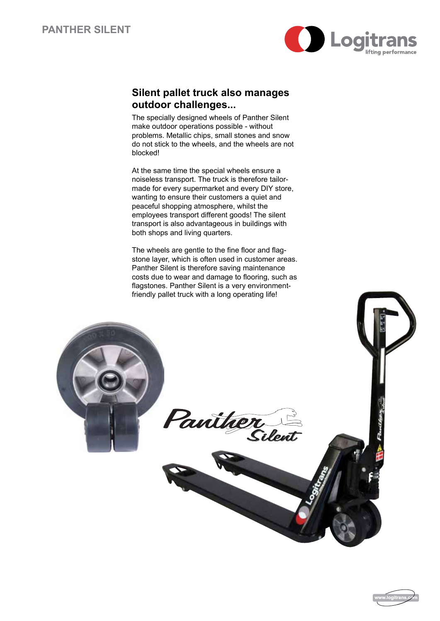

## **Silent pallet truck also manages outdoor challenges...**

The specially designed wheels of Panther Silent make outdoor operations possible - without problems. Metallic chips, small stones and snow do not stick to the wheels, and the wheels are not blocked!

At the same time the special wheels ensure a noiseless transport. The truck is therefore tailormade for every supermarket and every DIY store, wanting to ensure their customers a quiet and peaceful shopping atmosphere, whilst the employees transport different goods! The silent transport is also advantageous in buildings with both shops and living quarters.

The wheels are gentle to the fine floor and flagstone layer, which is often used in customer areas. Panther Silent is therefore saving maintenance costs due to wear and damage to flooring, such as flagstones. Panther Silent is a very environmentfriendly pallet truck with a long operating life!